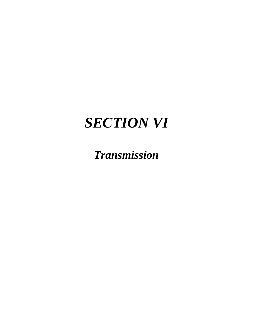# *SECTION VI*

*Transmission*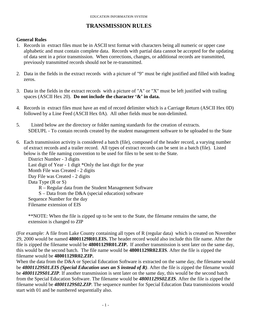## **TRANSMISSION RULES**

### **General Rules**

- 1. Records in extract files must be in ASCII text format with characters being all numeric or upper case alphabetic and must contain complete data. Records with partial data cannot be accepted for the updating of data sent in a prior transmission. When corrections, changes, or additional records are transmitted, previously transmitted records should not be re-transmitted.
- 2. Data in the fields in the extract records with a picture of "9" must be right justified and filled with leading zeros.
- 3. Data in the fields in the extract records with a picture of "A" or "X" must be left justified with trailing spaces (ASCII Hex 20). **Do not include the character '&' in data.**
- 4. Records in extract files must have an end of record delimiter which is a Carriage Return (ASCII Hex 0D) followed by a Line Feed (ASCII Hex 0A). All other fields must be non-delimited.
- 5. Listed below are the directory or folder naming standards for the creation of extracts. SDEUPL - To contain records created by the student management software to be uploaded to the State
- 6. Each transmission activity is considered a batch (file), composed of the header record, a varying number of extract records and a trailer record. All types of extract records can be sent in a batch (file). Listed below is the file naming convention to be used for files to be sent to the State.

District Number - 3 digits Last digit of Year - 1 digit \*Only the last digit for the year Month File was Created - 2 digits Day File was Created - 2 digits Data Type (R or S) R – Regular data from the Student Management Software S – Data from the D&A (special education) software Sequence Number for the day Filename extension of EIS

\*\*NOTE: When the file is zipped up to be sent to the State, the filename remains the same, the extension is changed to ZIP

(For example: A file from Lake County containing all types of R (regular data) which is created on November 29, 2000 would be named **48001129R01.EIS.** The header record would also include this file name. After the file is zipped the filename would be **48001129R01.ZIP.** If another transmission is sent later on the same day, this would be the second batch. The file name would be **48001129R02.EIS**. After the file is zipped the filename would be **48001129R02.ZIP.**

When the data from the D&A or Special Education Software is extracted on the same day, the filename would be *48001129S01.EIS (Special Education uses an S instead of R)*. After the file is zipped the filename would be *48001129S01.ZIP*. If another transmission is sent later on the same day, this would be the second batch from the Special Education Software. The filename would be *48001129S02.EIS*. After the file is zipped the filename would be *48001129S02.ZIP*. The sequence number for Special Education Data transmissions would start with 01 and be numbered sequentially also.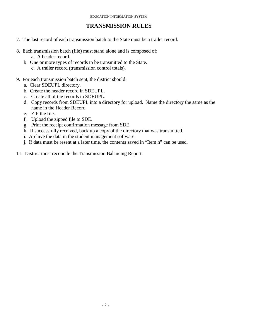## **TRANSMISSION RULES**

- 7. The last record of each transmission batch to the State must be a trailer record.
- 8. Each transmission batch (file) must stand alone and is composed of:
	- a. A header record.
	- b. One or more types of records to be transmitted to the State. c. A trailer record (transmission control totals).
- 9. For each transmission batch sent, the district should:
	- a. Clear SDEUPL directory.
	- b. Create the header record in SDEUPL.
	- c. Create all of the records in SDEUPL.
	- d. Copy records from SDEUPL into a directory for upload. Name the directory the same as the name in the Header Record.
	- e. ZIP the file.
	- f. Upload the zipped file to SDE.
	- g. Print the receipt confirmation message from SDE.
	- h. If successfully received, back up a copy of the directory that was transmitted.
	- i. Archive the data in the student management software.
	- j. If data must be resent at a later time, the contents saved in "Item h" can be used.
- 11. District must reconcile the Transmission Balancing Report.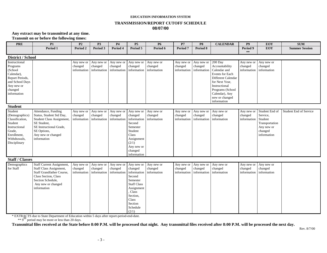#### **EDUCATION INFORMATION SYSTEM**

#### **TRANSMISSION/REPORT CUTOFF SCHEDULE08/07/00**

**Any extract may be transmitted at any time. Transmit on or before the following times:**

| <b>PRE</b>                                                                                                                        | P1                                                                                                                                                                         | P <sub>2</sub>                       | P <sub>3</sub>                       | P <sub>4</sub>                       | <b>P5</b>                                                                                                                                                    | <b>P6</b>                            | P7                                   | <b>P8</b>                            | <b>CALENDAR</b>                                                                                                                                                                              | <b>P9</b>                            | EOY                                                                                             | <b>SUM</b>                    |
|-----------------------------------------------------------------------------------------------------------------------------------|----------------------------------------------------------------------------------------------------------------------------------------------------------------------------|--------------------------------------|--------------------------------------|--------------------------------------|--------------------------------------------------------------------------------------------------------------------------------------------------------------|--------------------------------------|--------------------------------------|--------------------------------------|----------------------------------------------------------------------------------------------------------------------------------------------------------------------------------------------|--------------------------------------|-------------------------------------------------------------------------------------------------|-------------------------------|
|                                                                                                                                   | Period 1                                                                                                                                                                   | Period 2                             | Period 3                             | Period 4                             | Period 5                                                                                                                                                     | Period 6                             | Period 7                             | Period 8                             |                                                                                                                                                                                              | Period 9<br>$\star\star$             | <b>EOY</b>                                                                                      | <b>Summer Session</b>         |
| District / School                                                                                                                 |                                                                                                                                                                            |                                      |                                      |                                      |                                                                                                                                                              |                                      |                                      |                                      |                                                                                                                                                                                              |                                      |                                                                                                 |                               |
| Instructional<br>Programs<br>(School<br>Calendar),<br>Report Periods,<br>and School Days<br>Any new or<br>changed<br>information  |                                                                                                                                                                            | Any new or<br>changed<br>information | Any new or<br>changed<br>information | Any new or<br>changed<br>information | Any new or<br>changed<br>information                                                                                                                         | Any new or<br>changed<br>information | Any new or<br>changed<br>information | Any new or<br>changed<br>information | 200 Day<br>Accountability<br>Calendar and<br>Events for Each<br>Different Calendar<br>for Next Year,<br>Instructional<br>Programs (School<br>Calendar), Any<br>new or changed<br>information | Any new or<br>changed<br>information | Any new or<br>changed<br>information                                                            |                               |
| <b>Student</b>                                                                                                                    |                                                                                                                                                                            |                                      |                                      |                                      |                                                                                                                                                              |                                      |                                      |                                      |                                                                                                                                                                                              |                                      |                                                                                                 |                               |
| Student<br>(Demographics)<br>Classification,<br>Student<br>Instructional<br>Grade,<br>Enrollment,<br>Withdrawals,<br>Disciplinary | Attendance, Funding<br>Status, Student Std Day,<br>Student Class Assignment,<br>SE Student,<br>SE Instructional Grade,<br>SE Options,<br>Any new or changed<br>information | Any new or<br>changed<br>information | Any new or<br>changed<br>information | Any new or<br>changed<br>information | Any new or<br>changed<br>information<br>Second<br>Semester<br>Student<br>Class<br>Assignment<br>(2/1)<br>Any new or<br>changed<br>information                | Any new or<br>changed<br>information | Any new or<br>changed<br>information | Any new or<br>changed<br>information | Any new or<br>changed<br>information                                                                                                                                                         | Any new or<br>changed<br>information | Student End of<br>Service,<br>Student<br>Transportation<br>Any new or<br>changed<br>information | <b>Student End of Service</b> |
| <b>Staff / Classes</b>                                                                                                            |                                                                                                                                                                            |                                      |                                      |                                      |                                                                                                                                                              |                                      |                                      |                                      |                                                                                                                                                                                              |                                      |                                                                                                 |                               |
| Demographics<br>for Staff                                                                                                         | Staff Current Assignment,<br>Staff Class Assignment,<br><b>Staff Grandfather Course.</b><br>Class Section, Class<br>Section Schedule,<br>Any new or changed<br>information | Any new or<br>changed<br>information | Any new or<br>changed<br>information | Any new or<br>changed<br>information | Any new or<br>changed<br>information<br>Second<br>Semester<br><b>Staff Class</b><br>Assignment<br>Class<br>Section,<br>Class<br>Section<br>Schedule<br>(2/1) | Any new or<br>changed<br>information | Any new or<br>changed<br>information | Any new or<br>changed<br>information | Any new or<br>changed<br>information                                                                                                                                                         | Any new or<br>changed<br>information | Any new or<br>changed<br>information                                                            |                               |

\* EXTRACTS due to State Department of Education within 5 days after report-period-end-date.<br>\*\* 9<sup>th</sup> period may be more or less than 20 days.

**Transmittal files received at the State before 8:00 P.M. will be processed that night. Any transmittal files received after 8:00 P.M. will be processed the next day.**